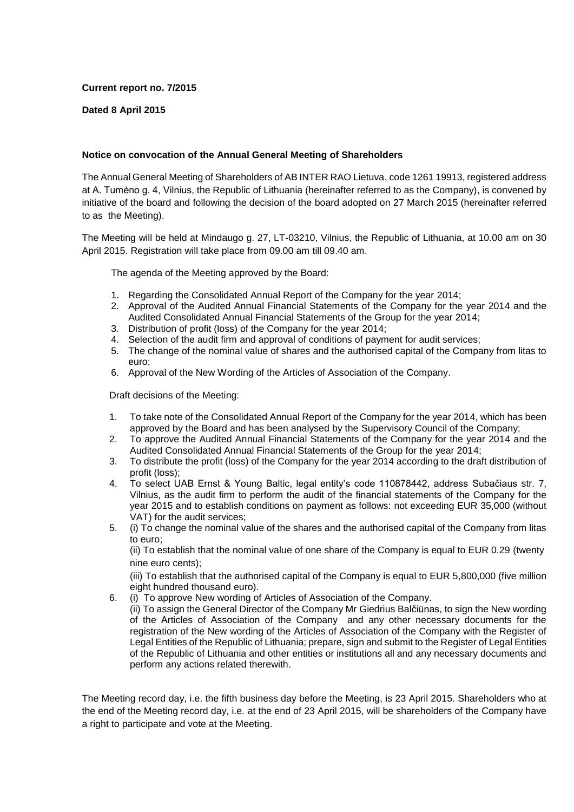## **Current report no. 7/2015**

## **Dated 8 April 2015**

## **Notice on convocation of the Annual General Meeting of Shareholders**

The Annual General Meeting of Shareholders of AB INTER RAO Lietuva, code 1261 19913, registered address at A. Tumėno g. 4, Vilnius, the Republic of Lithuania (hereinafter referred to as the Company), is convened by initiative of the board and following the decision of the board adopted on 27 March 2015 (hereinafter referred to as the Meeting).

The Meeting will be held at Mindaugo g. 27, LT-03210, Vilnius, the Republic of Lithuania, at 10.00 am on 30 April 2015. Registration will take place from 09.00 am till 09.40 am.

The agenda of the Meeting approved by the Board:

- 1. Regarding the Consolidated Annual Report of the Company for the year 2014;
- 2. Approval of the Audited Annual Financial Statements of the Company for the year 2014 and the Audited Consolidated Annual Financial Statements of the Group for the year 2014;
- 3. Distribution of profit (loss) of the Company for the year 2014;
- 4. Selection of the audit firm and approval of conditions of payment for audit services;
- 5. The change of the nominal value of shares and the authorised capital of the Company from litas to euro;
- 6. Approval of the New Wording of the Articles of Association of the Company.

Draft decisions of the Meeting:

perform any actions related therewith.

- 1. To take note of the Consolidated Annual Report of the Company for the year 2014, which has been approved by the Board and has been analysed by the Supervisory Council of the Company;
- 2. To approve the Audited Annual Financial Statements of the Company for the year 2014 and the Audited Consolidated Annual Financial Statements of the Group for the year 2014;
- 3. To distribute the profit (loss) of the Company for the year 2014 according to the draft distribution of profit (loss);
- 4. To select UAB Ernst & Young Baltic, legal entity's code 110878442, address Subačiaus str. 7, Vilnius, as the audit firm to perform the audit of the financial statements of the Company for the year 2015 and to establish conditions on payment as follows: not exceeding EUR 35,000 (without VAT) for the audit services;
- 5. (i) To change the nominal value of the shares and the authorised capital of the Company from litas to euro;

(ii) To establish that the nominal value of one share of the Company is equal to EUR 0.29 (twenty nine euro cents);

(iii) To establish that the authorised capital of the Company is equal to EUR 5,800,000 (five million eight hundred thousand euro).

6. (i) To approve New wording of Articles of Association of the Company. (ii) To assign the General Director of the Company Mr Giedrius Balčiūnas, to sign the New wording of the Аrticles of Аssociation of the Company and any other necessary documents for the registration of the New wording of the Аrticles of Аssociation of the Company with the Register of Legal Entities of the Republic of Lithuania; prepare, sign and submit to the Register of Legal Entities of the Republic of Lithuania and other entities or institutions all and any necessary documents and

The Meeting record day, i.e. the fifth business day before the Meeting, is 23 April 2015. Shareholders who at the end of the Meeting record day, i.e. at the end of 23 April 2015, will be shareholders of the Company have a right to participate and vote at the Meeting.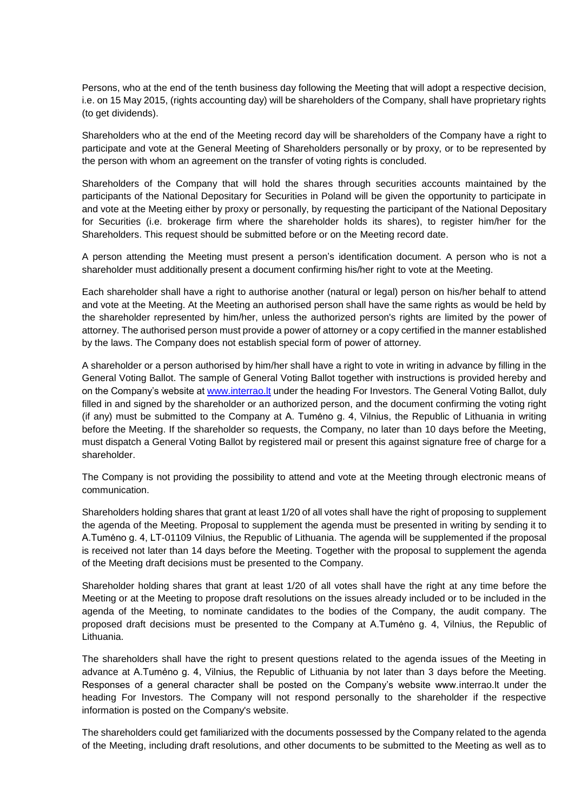Persons, who at the end of the tenth business day following the Meeting that will adopt a respective decision, i.e. on 15 May 2015, (rights accounting day) will be shareholders of the Company, shall have proprietary rights (to get dividends).

Shareholders who at the end of the Meeting record day will be shareholders of the Company have a right to participate and vote at the General Meeting of Shareholders personally or by proxy, or to be represented by the person with whom an agreement on the transfer of voting rights is concluded.

Shareholders of the Company that will hold the shares through securities accounts maintained by the participants of the National Depositary for Securities in Poland will be given the opportunity to participate in and vote at the Meeting either by proxy or personally, by requesting the participant of the National Depositary for Securities (i.e. brokerage firm where the shareholder holds its shares), to register him/her for the Shareholders. This request should be submitted before or on the Meeting record date.

A person attending the Meeting must present a person's identification document. A person who is not a shareholder must additionally present a document confirming his/her right to vote at the Meeting.

Each shareholder shall have a right to authorise another (natural or legal) person on his/her behalf to attend and vote at the Meeting. At the Meeting an authorised person shall have the same rights as would be held by the shareholder represented by him/her, unless the authorized person's rights are limited by the power of attorney. The authorised person must provide a power of attorney or a copy certified in the manner established by the laws. The Company does not establish special form of power of attorney.

A shareholder or a person authorised by him/her shall have a right to vote in writing in advance by filling in the General Voting Ballot. The sample of General Voting Ballot together with instructions is provided hereby and on the Company's website at [www.interrao.lt](http://www.interrao.lt/) under the heading For Investors. The General Voting Ballot, duly filled in and signed by the shareholder or an authorized person, and the document confirming the voting right (if any) must be submitted to the Company at A. Tumėno g. 4, Vilnius, the Republic of Lithuania in writing before the Meeting. If the shareholder so requests, the Company, no later than 10 days before the Meeting, must dispatch a General Voting Ballot by registered mail or present this against signature free of charge for a shareholder.

The Company is not providing the possibility to attend and vote at the Meeting through electronic means of communication.

Shareholders holding shares that grant at least 1/20 of all votes shall have the right of proposing to supplement the agenda of the Meeting. Proposal to supplement the agenda must be presented in writing by sending it to A.Tumėno g. 4, LT-01109 Vilnius, the Republic of Lithuania. The agenda will be supplemented if the proposal is received not later than 14 days before the Meeting. Together with the proposal to supplement the agenda of the Meeting draft decisions must be presented to the Company.

Shareholder holding shares that grant at least 1/20 of all votes shall have the right at any time before the Meeting or at the Meeting to propose draft resolutions on the issues already included or to be included in the agenda of the Meeting, to nominate candidates to the bodies of the Company, the audit company. The proposed draft decisions must be presented to the Company at A.Tumėno g. 4, Vilnius, the Republic of Lithuania.

The shareholders shall have the right to present questions related to the agenda issues of the Meeting in advance at A.Tumėno g. 4, Vilnius, the Republic of Lithuania by not later than 3 days before the Meeting. Responses of a general character shall be posted on the Company's website www.interrao.lt under the heading For Investors. The Company will not respond personally to the shareholder if the respective information is posted on the Company's website.

The shareholders could get familiarized with the documents possessed by the Company related to the agenda of the Meeting, including draft resolutions, and other documents to be submitted to the Meeting as well as to